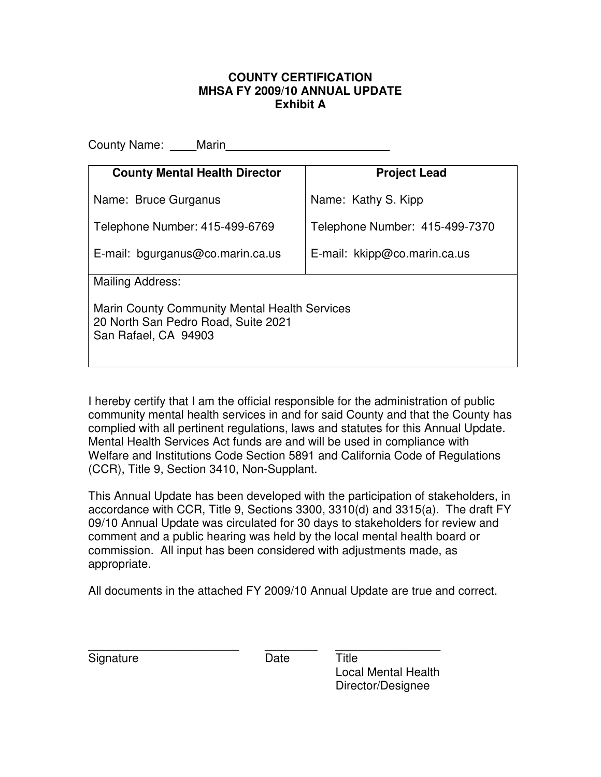#### **COUNTY CERTIFICATION MHSA FY 2009/10 ANNUAL UPDATE Exhibit A**

County Name: \_\_\_\_\_Marin **County Mental Health Director**  Name: Bruce Gurganus Telephone Number: 415-499-6769 E-mail: bgurganus@co.marin.ca.us **Project Lead**  Name: Kathy S. Kipp Telephone Number: 415-499-7370 E-mail: kkipp@co.marin.ca.us Mailing Address: Marin County Community Mental Health Services 20 North San Pedro Road, Suite 2021 San Rafael, CA 94903

I hereby certify that I am the official responsible for the administration of public community mental health services in and for said County and that the County has complied with all pertinent regulations, laws and statutes for this Annual Update. Mental Health Services Act funds are and will be used in compliance with Welfare and Institutions Code Section 5891 and California Code of Regulations (CCR), Title 9, Section 3410, Non-Supplant.

This Annual Update has been developed with the participation of stakeholders, in accordance with CCR, Title 9, Sections 3300, 3310(d) and 3315(a). The draft FY 09/10 Annual Update was circulated for 30 days to stakeholders for review and comment and a public hearing was held by the local mental health board or commission. All input has been considered with adjustments made, as appropriate.

All documents in the attached FY 2009/10 Annual Update are true and correct.

| Signature | Date | ⊤itle |
|-----------|------|-------|

Local Mental Health Director/Designee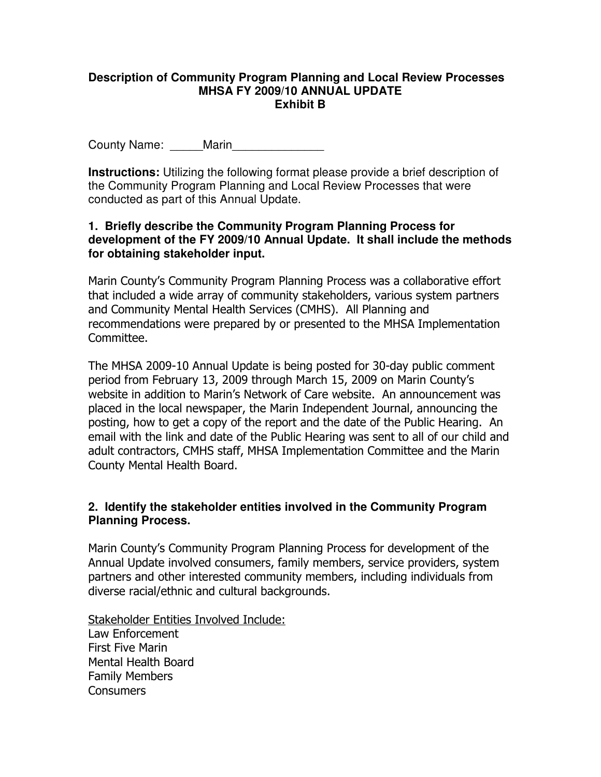### **Description of Community Program Planning and Local Review Processes MHSA FY 2009/10 ANNUAL UPDATE Exhibit B**

County Name: Marin

**Instructions:** Utilizing the following format please provide a brief description of the Community Program Planning and Local Review Processes that were conducted as part of this Annual Update.

## **1. Briefly describe the Community Program Planning Process for development of the FY 2009/10 Annual Update. It shall include the methods for obtaining stakeholder input.**

Marin County's Community Program Planning Process was a collaborative effort that included a wide array of community stakeholders, various system partners and Community Mental Health Services (CMHS). All Planning and recommendations were prepared by or presented to the MHSA Implementation Committee.

The MHSA 2009-10 Annual Update is being posted for 30-day public comment period from February 13, 2009 through March 15, 2009 on Marin County's website in addition to Marin's Network of Care website. An announcement was placed in the local newspaper, the Marin Independent Journal, announcing the posting, how to get a copy of the report and the date of the Public Hearing. An email with the link and date of the Public Hearing was sent to all of our child and adult contractors, CMHS staff, MHSA Implementation Committee and the Marin County Mental Health Board.

## **2. Identify the stakeholder entities involved in the Community Program Planning Process.**

Marin County's Community Program Planning Process for development of the Annual Update involved consumers, family members, service providers, system partners and other interested community members, including individuals from diverse racial/ethnic and cultural backgrounds.

Stakeholder Entities Involved Include: Law Enforcement First Five Marin Mental Health Board Family Members **Consumers**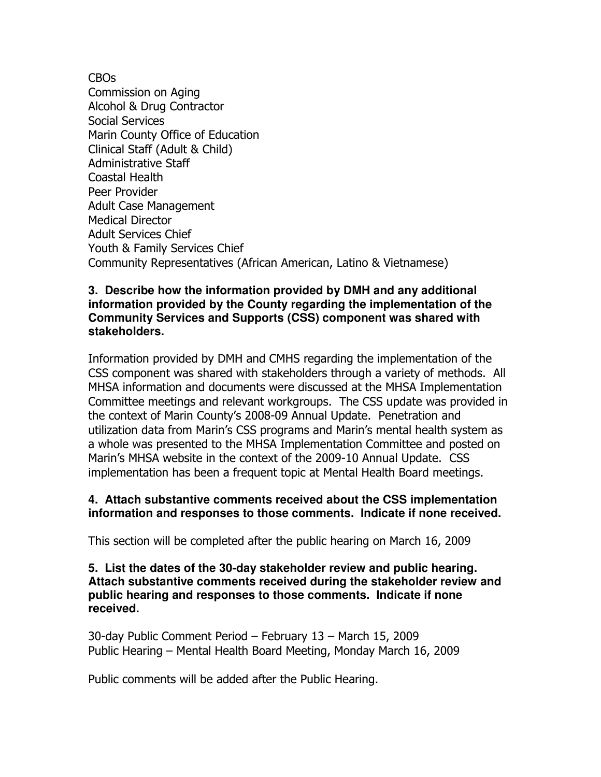CBOs Commission on Aging Alcohol & Drug Contractor Social Services Marin County Office of Education Clinical Staff (Adult & Child) Administrative Staff Coastal Health Peer Provider Adult Case Management Medical Director Adult Services Chief Youth & Family Services Chief Community Representatives (African American, Latino & Vietnamese)

### **3. Describe how the information provided by DMH and any additional information provided by the County regarding the implementation of the Community Services and Supports (CSS) component was shared with stakeholders.**

Information provided by DMH and CMHS regarding the implementation of the CSS component was shared with stakeholders through a variety of methods. All MHSA information and documents were discussed at the MHSA Implementation Committee meetings and relevant workgroups. The CSS update was provided in the context of Marin County's 2008-09 Annual Update. Penetration and utilization data from Marin's CSS programs and Marin's mental health system as a whole was presented to the MHSA Implementation Committee and posted on Marin's MHSA website in the context of the 2009-10 Annual Update. CSS implementation has been a frequent topic at Mental Health Board meetings.

### **4. Attach substantive comments received about the CSS implementation information and responses to those comments. Indicate if none received.**

This section will be completed after the public hearing on March 16, 2009

### **5. List the dates of the 30-day stakeholder review and public hearing. Attach substantive comments received during the stakeholder review and public hearing and responses to those comments. Indicate if none received.**

30-day Public Comment Period – February 13 – March 15, 2009 Public Hearing – Mental Health Board Meeting, Monday March 16, 2009

Public comments will be added after the Public Hearing.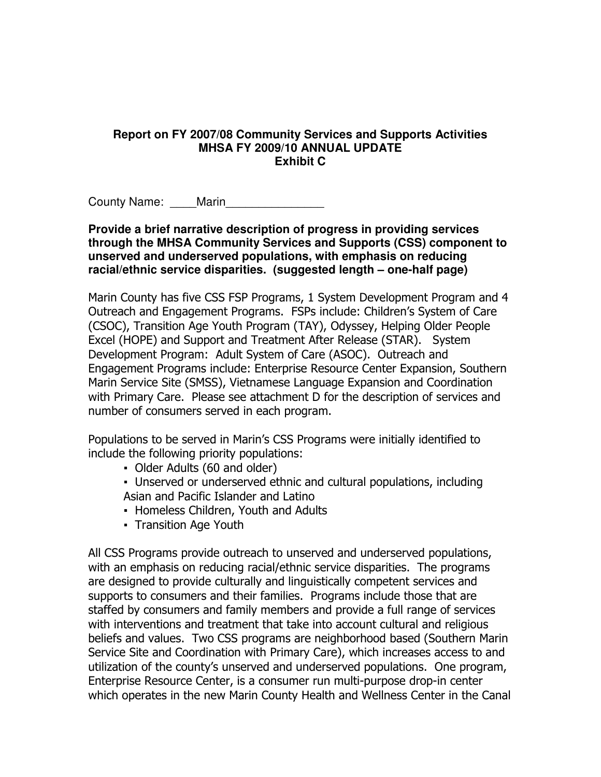#### **Report on FY 2007/08 Community Services and Supports Activities MHSA FY 2009/10 ANNUAL UPDATE Exhibit C**

County Name: Marin

**Provide a brief narrative description of progress in providing services through the MHSA Community Services and Supports (CSS) component to unserved and underserved populations, with emphasis on reducing racial/ethnic service disparities. (suggested length – one-half page)** 

Marin County has five CSS FSP Programs, 1 System Development Program and 4 Outreach and Engagement Programs. FSPs include: Children's System of Care (CSOC), Transition Age Youth Program (TAY), Odyssey, Helping Older People Excel (HOPE) and Support and Treatment After Release (STAR). System Development Program: Adult System of Care (ASOC). Outreach and Engagement Programs include: Enterprise Resource Center Expansion, Southern Marin Service Site (SMSS), Vietnamese Language Expansion and Coordination with Primary Care. Please see attachment D for the description of services and number of consumers served in each program.

Populations to be served in Marin's CSS Programs were initially identified to include the following priority populations:

- Older Adults (60 and older)
- Unserved or underserved ethnic and cultural populations, including Asian and Pacific Islander and Latino
- Homeless Children, Youth and Adults
- Transition Age Youth

All CSS Programs provide outreach to unserved and underserved populations, with an emphasis on reducing racial/ethnic service disparities. The programs are designed to provide culturally and linguistically competent services and supports to consumers and their families. Programs include those that are staffed by consumers and family members and provide a full range of services with interventions and treatment that take into account cultural and religious beliefs and values. Two CSS programs are neighborhood based (Southern Marin Service Site and Coordination with Primary Care), which increases access to and utilization of the county's unserved and underserved populations. One program, Enterprise Resource Center, is a consumer run multi-purpose drop-in center which operates in the new Marin County Health and Wellness Center in the Canal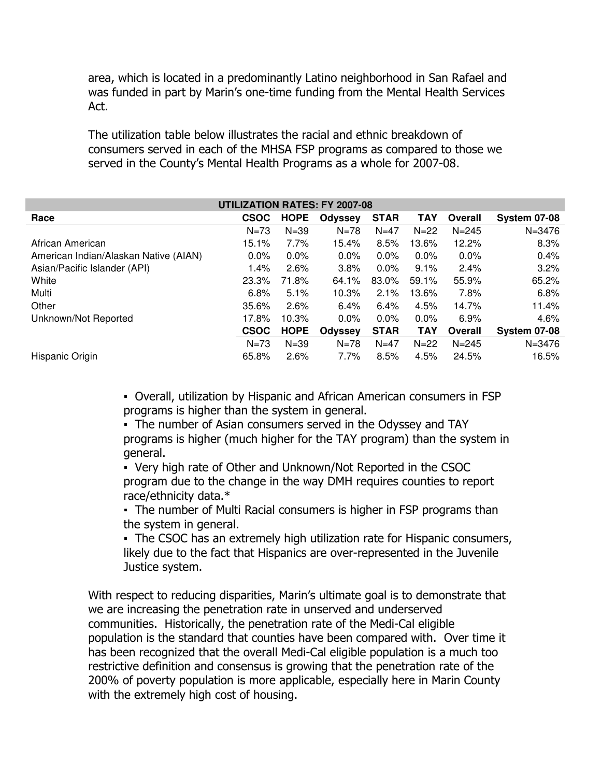area, which is located in a predominantly Latino neighborhood in San Rafael and was funded in part by Marin's one-time funding from the Mental Health Services Act.

The utilization table below illustrates the racial and ethnic breakdown of consumers served in each of the MHSA FSP programs as compared to those we served in the County's Mental Health Programs as a whole for 2007-08.

| <b>UTILIZATION RATES: FY 2007-08</b>  |             |             |                |             |            |           |                     |
|---------------------------------------|-------------|-------------|----------------|-------------|------------|-----------|---------------------|
| Race                                  | <b>CSOC</b> | <b>HOPE</b> | <b>Odyssey</b> | <b>STAR</b> | <b>TAY</b> | Overall   | <b>System 07-08</b> |
|                                       | $N = 73$    | $N = 39$    | $N = 78$       | $N=47$      | $N = 22$   | $N = 245$ | $N = 3476$          |
| African American                      | 15.1%       | 7.7%        | 15.4%          | 8.5%        | 13.6%      | 12.2%     | 8.3%                |
| American Indian/Alaskan Native (AIAN) | 0.0%        | $0.0\%$     | 0.0%           | $0.0\%$     | $0.0\%$    | $0.0\%$   | 0.4%                |
| Asian/Pacific Islander (API)          | $1.4\%$     | 2.6%        | 3.8%           | $0.0\%$     | 9.1%       | 2.4%      | 3.2%                |
| White                                 | 23.3%       | 71.8%       | 64.1%          | 83.0%       | 59.1%      | 55.9%     | 65.2%               |
| Multi                                 | 6.8%        | 5.1%        | 10.3%          | 2.1%        | 13.6%      | 7.8%      | 6.8%                |
| Other                                 | 35.6%       | 2.6%        | 6.4%           | 6.4%        | 4.5%       | 14.7%     | 11.4%               |
| Unknown/Not Reported                  | 17.8%       | 10.3%       | $0.0\%$        | $0.0\%$     | $0.0\%$    | 6.9%      | 4.6%                |
|                                       | <b>CSOC</b> | <b>HOPE</b> | <b>Odyssey</b> | <b>STAR</b> | <b>TAY</b> | Overall   | <b>System 07-08</b> |
|                                       | $N = 73$    | $N = 39$    | $N = 78$       | $N = 47$    | $N = 22$   | $N = 245$ | $N = 3476$          |
| Hispanic Origin                       | 65.8%       | 2.6%        | 7.7%           | 8.5%        | 4.5%       | 24.5%     | 16.5%               |

▪ Overall, utilization by Hispanic and African American consumers in FSP programs is higher than the system in general.

• The number of Asian consumers served in the Odyssey and TAY programs is higher (much higher for the TAY program) than the system in general.

• Very high rate of Other and Unknown/Not Reported in the CSOC program due to the change in the way DMH requires counties to report race/ethnicity data.\*

• The number of Multi Racial consumers is higher in FSP programs than the system in general.

• The CSOC has an extremely high utilization rate for Hispanic consumers, likely due to the fact that Hispanics are over-represented in the Juvenile Justice system.

With respect to reducing disparities, Marin's ultimate goal is to demonstrate that we are increasing the penetration rate in unserved and underserved communities. Historically, the penetration rate of the Medi-Cal eligible population is the standard that counties have been compared with. Over time it has been recognized that the overall Medi-Cal eligible population is a much too restrictive definition and consensus is growing that the penetration rate of the 200% of poverty population is more applicable, especially here in Marin County with the extremely high cost of housing.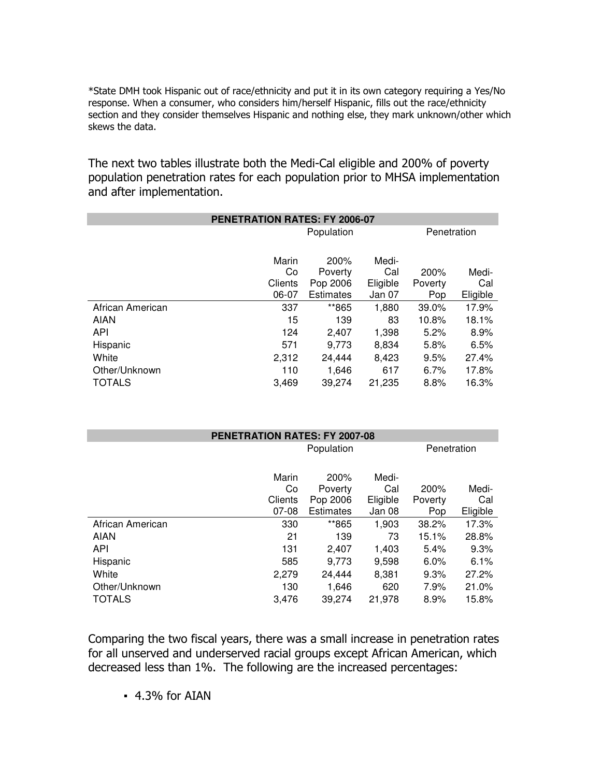\*State DMH took Hispanic out of race/ethnicity and put it in its own category requiring a Yes/No response. When a consumer, who considers him/herself Hispanic, fills out the race/ethnicity section and they consider themselves Hispanic and nothing else, they mark unknown/other which skews the data.

The next two tables illustrate both the Medi-Cal eligible and 200% of poverty population penetration rates for each population prior to MHSA implementation and after implementation.

| PENETRATION RATES: FY 2006-07 |         |                  |          |         |          |  |
|-------------------------------|---------|------------------|----------|---------|----------|--|
|                               |         | Penetration      |          |         |          |  |
|                               |         | Population       |          |         |          |  |
|                               | Marin   | 200%             | Medi-    |         |          |  |
|                               | Co      | Poverty          | Cal      | 200%    | Medi-    |  |
|                               | Clients | Pop 2006         | Eligible | Poverty | Cal      |  |
|                               | 06-07   | <b>Estimates</b> | Jan 07   | Pop     | Eligible |  |
| African American              | 337     | **865            | 1,880    | 39.0%   | 17.9%    |  |
| <b>AIAN</b>                   | 15      | 139              | 83       | 10.8%   | 18.1%    |  |
| API                           | 124     | 2,407            | 1,398    | 5.2%    | 8.9%     |  |
| Hispanic                      | 571     | 9.773            | 8,834    | 5.8%    | 6.5%     |  |
| White                         | 2,312   | 24,444           | 8,423    | 9.5%    | 27.4%    |  |
| Other/Unknown                 | 110     | 1,646            | 617      | 6.7%    | 17.8%    |  |
| <b>TOTALS</b>                 | 3,469   | 39,274           | 21,235   | 8.8%    | 16.3%    |  |

| <b>PENETRATION RATES: FY 2007-08</b> |         |                  |          |         |          |  |
|--------------------------------------|---------|------------------|----------|---------|----------|--|
|                                      |         | Penetration      |          |         |          |  |
|                                      |         | Population       |          |         |          |  |
|                                      | Marin   | 200%             | Medi-    |         |          |  |
|                                      | Co      | Poverty          | Cal      | 200%    | Medi-    |  |
|                                      | Clients | Pop 2006         | Eligible | Poverty | Cal      |  |
|                                      | $07-08$ | <b>Estimates</b> | Jan 08   | Pop     | Eligible |  |
| African American                     | 330     | **865            | 1,903    | 38.2%   | 17.3%    |  |
| <b>AIAN</b>                          | 21      | 139              | 73       | 15.1%   | 28.8%    |  |
| API                                  | 131     | 2,407            | 1,403    | 5.4%    | 9.3%     |  |
| Hispanic                             | 585     | 9.773            | 9,598    | 6.0%    | 6.1%     |  |
| White                                | 2,279   | 24,444           | 8,381    | 9.3%    | 27.2%    |  |
| Other/Unknown                        | 130     | 1,646            | 620      | 7.9%    | 21.0%    |  |
| <b>TOTALS</b>                        | 3.476   | 39,274           | 21,978   | 8.9%    | 15.8%    |  |

Comparing the two fiscal years, there was a small increase in penetration rates for all unserved and underserved racial groups except African American, which decreased less than 1%. The following are the increased percentages:

 $-4.3%$  for AIAN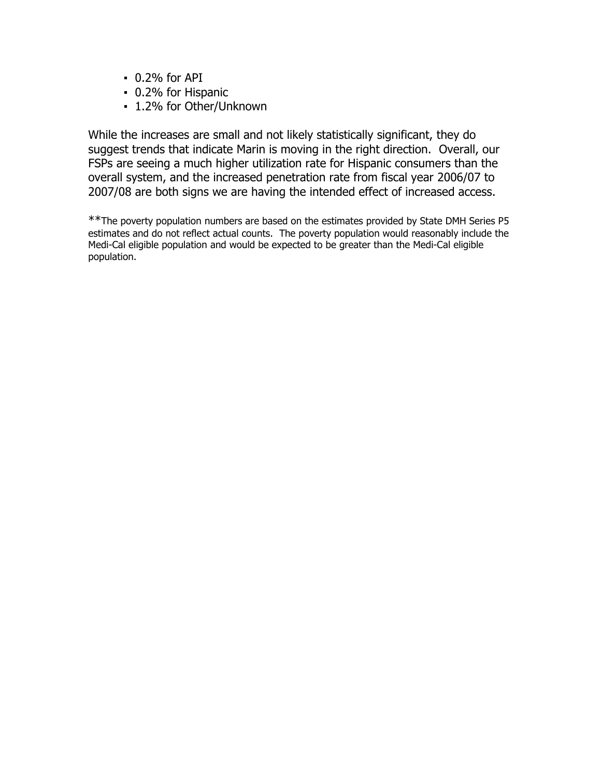- 0.2% for API
- 0.2% for Hispanic
- 1.2% for Other/Unknown

While the increases are small and not likely statistically significant, they do suggest trends that indicate Marin is moving in the right direction. Overall, our FSPs are seeing a much higher utilization rate for Hispanic consumers than the overall system, and the increased penetration rate from fiscal year 2006/07 to 2007/08 are both signs we are having the intended effect of increased access.

\*\*The poverty population numbers are based on the estimates provided by State DMH Series P5 estimates and do not reflect actual counts. The poverty population would reasonably include the Medi-Cal eligible population and would be expected to be greater than the Medi-Cal eligible population.